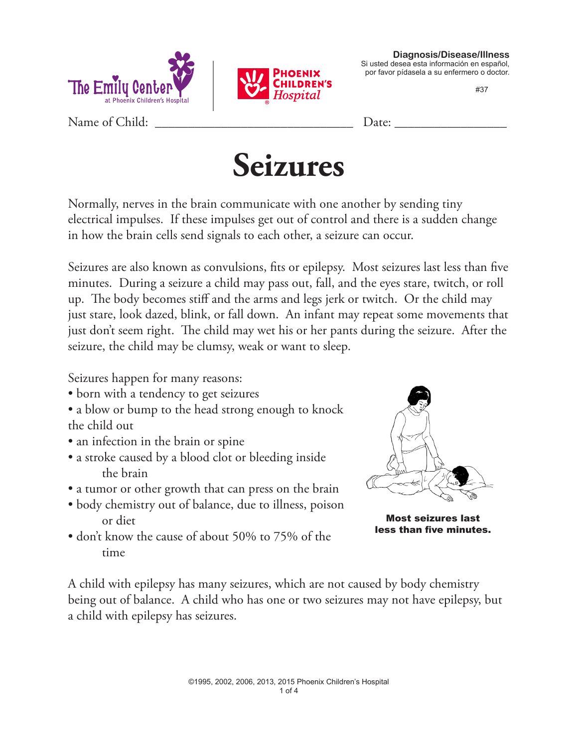



**Diagnosis/Disease/Illness** Si usted desea esta información en español, por favor pídasela a su enfermero o doctor.

#37

Name of Child: \_\_\_\_\_\_\_\_\_\_\_\_\_\_\_\_\_\_\_\_\_\_\_\_\_\_\_\_\_\_ Date: \_\_\_\_\_\_\_\_\_\_\_\_\_\_\_\_\_



Normally, nerves in the brain communicate with one another by sending tiny electrical impulses. If these impulses get out of control and there is a sudden change in how the brain cells send signals to each other, a seizure can occur.

Seizures are also known as convulsions, fits or epilepsy. Most seizures last less than five minutes. During a seizure a child may pass out, fall, and the eyes stare, twitch, or roll up. The body becomes stiff and the arms and legs jerk or twitch. Or the child may just stare, look dazed, blink, or fall down. An infant may repeat some movements that just don't seem right. The child may wet his or her pants during the seizure. After the seizure, the child may be clumsy, weak or want to sleep.

Seizures happen for many reasons:

• born with a tendency to get seizures

• a blow or bump to the head strong enough to knock the child out

- an infection in the brain or spine
- a stroke caused by a blood clot or bleeding inside the brain
- a tumor or other growth that can press on the brain
- body chemistry out of balance, due to illness, poison or diet
- don't know the cause of about 50% to 75% of the time



Most seizures last less than five minutes.

A child with epilepsy has many seizures, which are not caused by body chemistry being out of balance. A child who has one or two seizures may not have epilepsy, but a child with epilepsy has seizures.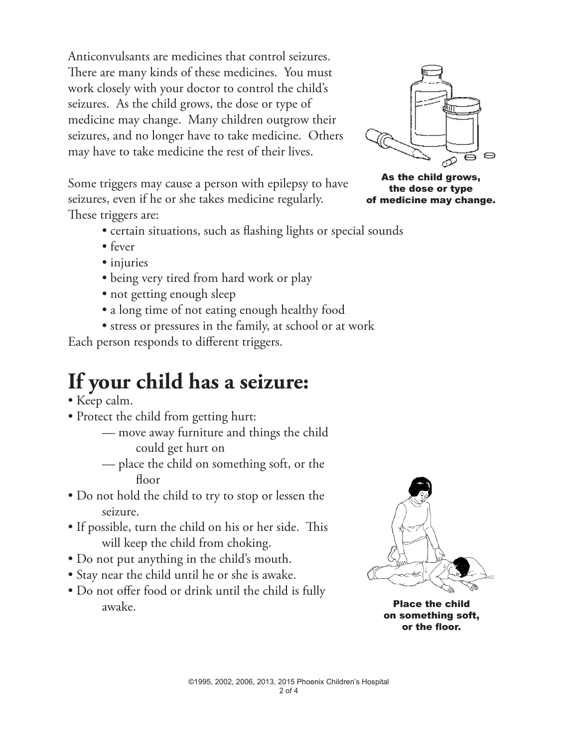Anticonvulsants are medicines that control seizures. There are many kinds of these medicines. You must work closely with your doctor to control the child's seizures. As the child grows, the dose or type of medicine may change. Many children outgrow their seizures, and no longer have to take medicine. Others may have to take medicine the rest of their lives.

Some triggers may cause a person with epilepsy to have seizures, even if he or she takes medicine regularly. These triggers are:

- certain situations, such as flashing lights or special sounds
- fever
- injuries
- being very tired from hard work or play
- not getting enough sleep
- a long time of not eating enough healthy food
- stress or pressures in the family, at school or at work

Each person responds to different triggers.

## **If your child has a seizure:**

- Keep calm.
- Protect the child from getting hurt:
	- move away furniture and things the child could get hurt on
	- place the child on something soft, or the floor
- Do not hold the child to try to stop or lessen the seizure.
- If possible, turn the child on his or her side. This will keep the child from choking.
- Do not put anything in the child's mouth.
- Stay near the child until he or she is awake.
- Do not offer food or drink until the child is fully awake.



Place the child on something soft, or the floor.



As the child grows, the dose or type of medicine may change.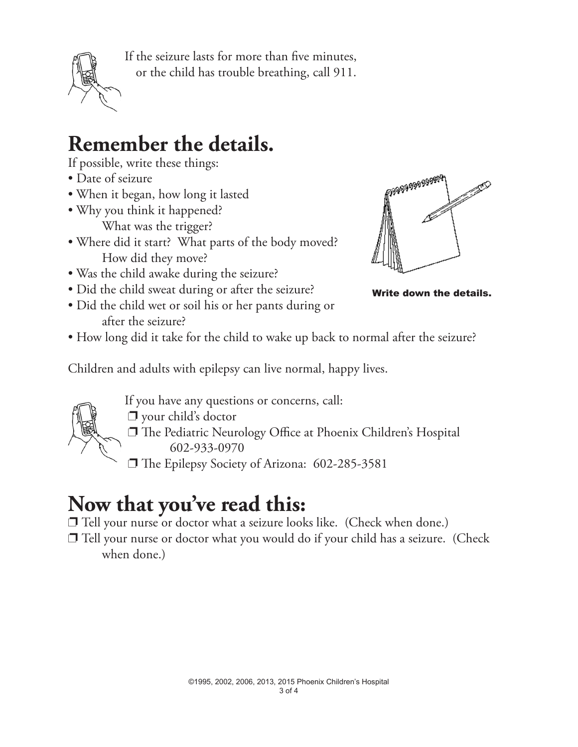

If the seizure lasts for more than five minutes, or the child has trouble breathing, call 911.

## **Remember the details.**

If possible, write these things:

- Date of seizure
- When it began, how long it lasted
- Why you think it happened? What was the trigger?
- Where did it start? What parts of the body moved? How did they move?
- Was the child awake during the seizure?
- Did the child sweat during or after the seizure?
- Did the child wet or soil his or her pants during or after the seizure?



Write down the details.

• How long did it take for the child to wake up back to normal after the seizure?

Children and adults with epilepsy can live normal, happy lives.



If you have any questions or concerns, call:

- $\Box$  your child's doctor
- p The Pediatric Neurology Office at Phoenix Children's Hospital 602-933-0970
- p The Epilepsy Society of Arizona: 602-285-3581

## **Now that you've read this:**

 $\Box$  Tell your nurse or doctor what a seizure looks like. (Check when done.)

 $\Box$  Tell your nurse or doctor what you would do if your child has a seizure. (Check when done.)